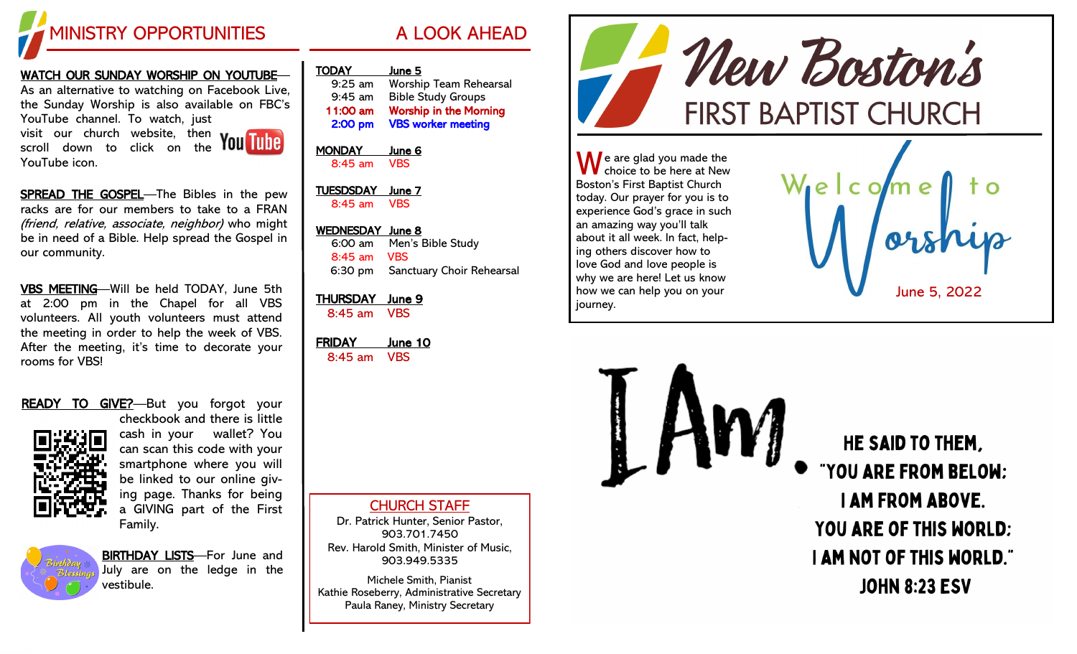

## <u>WATCH OUR SUNDAY WORSHIP ON YOUTUBE</u>— As an alternative to watching on Facebook Live,

the Sunday Worship is also available on FBC's YouTube channel. To watch, just visit our church website, then scroll down to click on the YouTube icon.



SPREAD THE GOSPEL-The Bibles in the pew racks are for our members to take to a FRAN (friend, relative, associate, neighbor) who might be in need of a Bible. Help spread the Gospel in our community.

VBS MEETING —Will be held TODAY, June 5th at 2:00 pm in the Chapel for all VBS volunteers. All youth volunteers must attend the meeting in order to help the week of VBS. After the meeting, it's time to decorate your rooms for VBS!

## READY TO GIVE?-But you forgot your



checkbook and there is little cash in your wallet? You can scan this code with your smartphone where you will be linked to our online giving page. Thanks for being a GIVING part of the First Family.



BIRTHDAY LISTS-For June and July are on the ledge in the vestibule.

| <b>TODAY</b> | June 5                        |
|--------------|-------------------------------|
| $9:25$ am    | <b>Worship Team Rehearsal</b> |
| $9:45$ am    | <b>Bible Study Groups</b>     |
| 11:00 am     | <b>Worship in the Morning</b> |
| 2:00 pm      | <b>VBS worker meeting</b>     |

MONDAY June 6 8:45 am VBS

TUESDSDAY June 7 8:45 am VBS

### WEDNESDAY June 8 6:00 am Men's Bible Study 8:45 am VBS 6:30 pm Sanctuary Choir Rehearsal

# THURSDAY June 9

8:45 am VBS

FRIDAY June 10 8:45 am VBS

CHURCH STAFF

Dr. Patrick Hunter, Senior Pastor, 903.701.7450 Rev. Harold Smith, Minister of Music, 903.949.5335

Michele Smith, Pianist Kathie Roseberry, Administrative Secretary Paula Raney, Ministry Secretary



HE SAID TO THEM. "YOU ARE FROM BELOW: **I AM FROM ABOVE. YOU ARE OF THIS WORLD: I AM NOT OF THIS WORLD." JOHN 8:23 ESV**